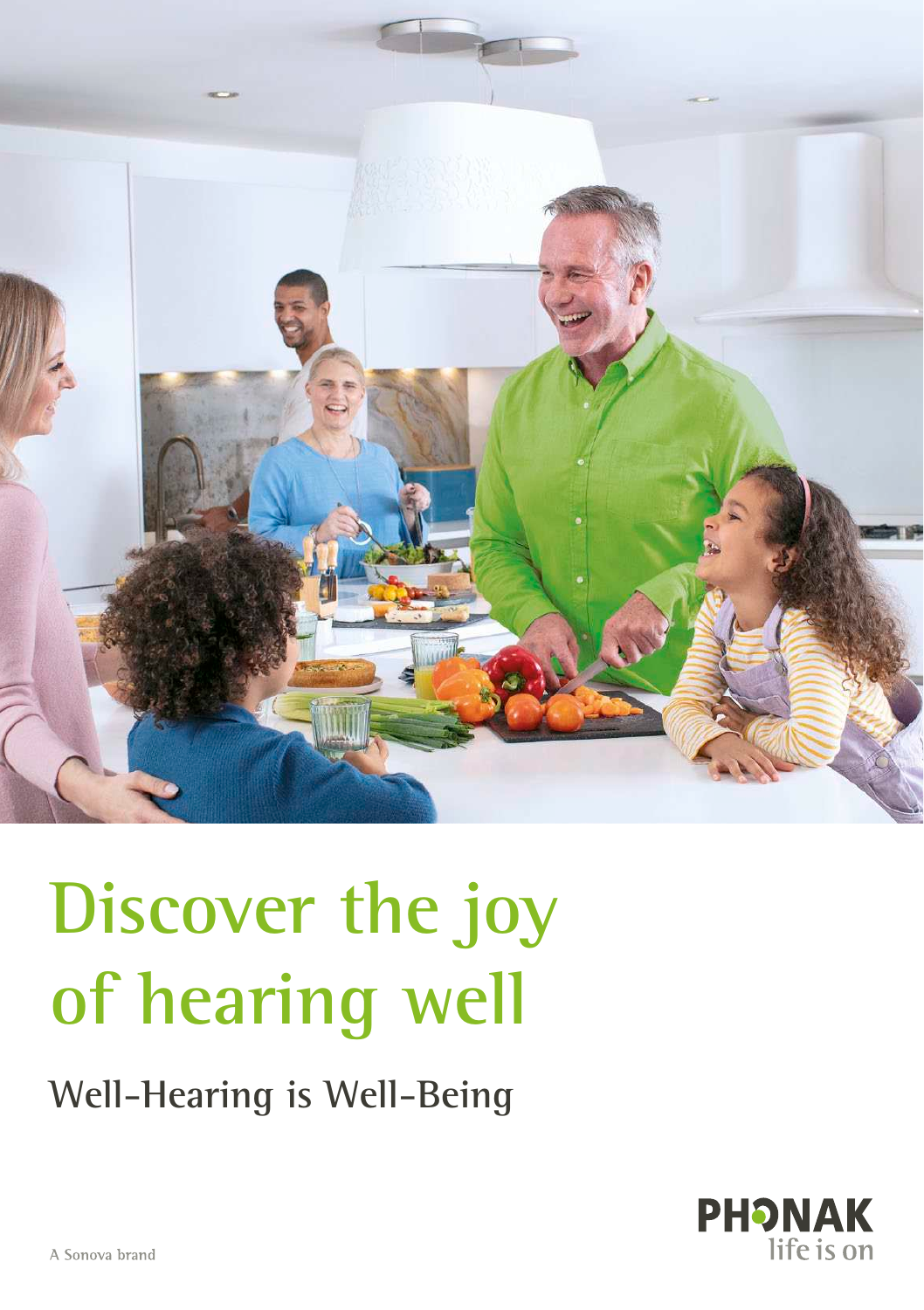

# **Discover the joy of hearing well**

### **Well-Hearing is Well-Being**

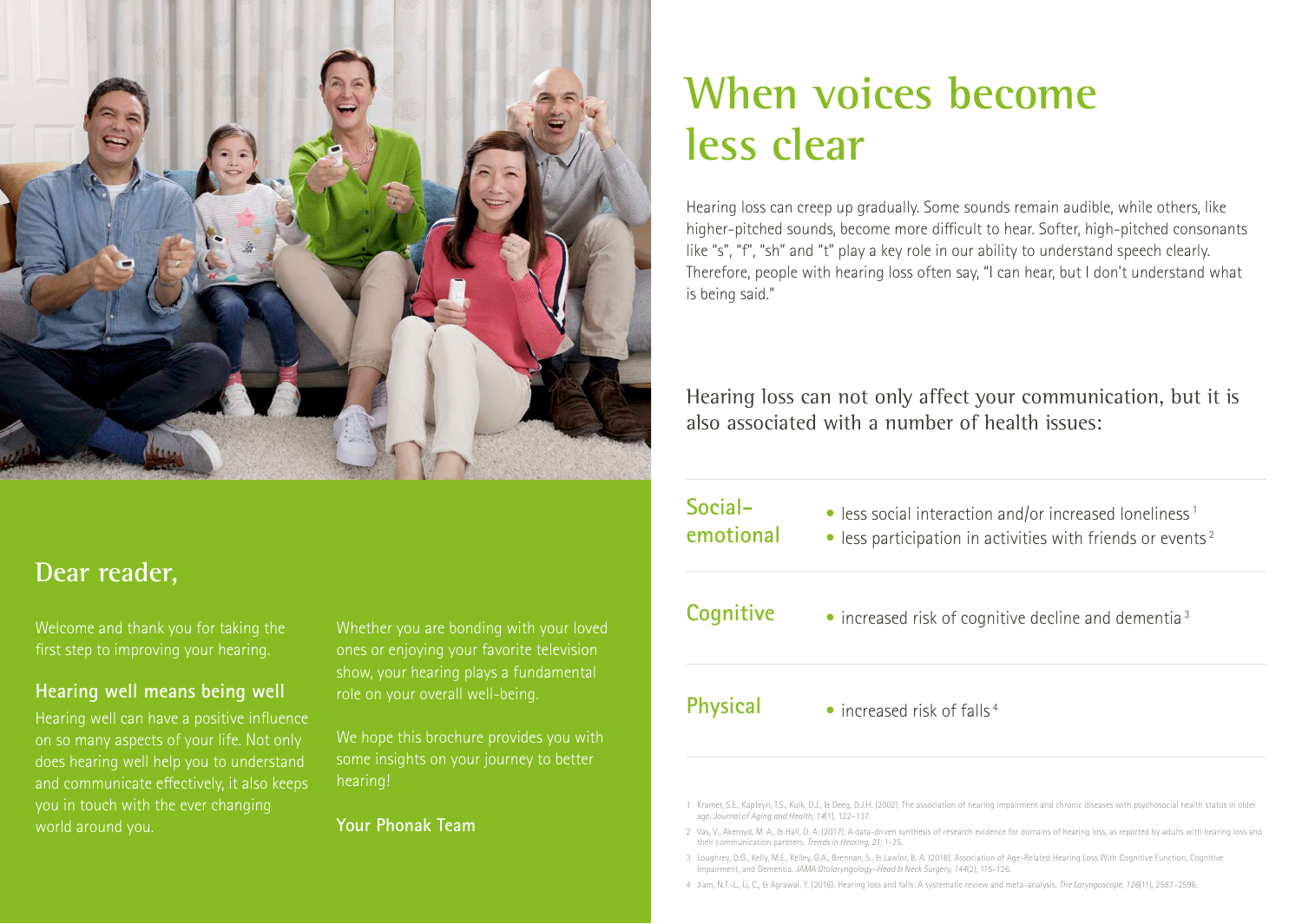

### **Dear reader,**

Welcome and thank you for taking the first step to improving your hearing.

#### **Hearing well means being well**

Hearing well can have a positive influence on so many aspects of your life. Not only does hearing well help you to understand and communicate effectively, it also keeps you in touch with the ever changing world around you.

Whether you are bonding with your loved ones or enjoying your favorite television show, your hearing plays a fundamental role on your overall well-being.

We hope this brochure provides you with some insights on your journey to better hearing!

**Your Phonak Team**

### **When voices become less clear**

Hearing loss can creep up gradually. Some sounds remain audible, while others, like higher- pitched sounds, become more difficult to hear. Softer, high-pitched consonants like "s", "f", "sh" and "t" play a key role in our ability to understand speech clearly. Therefore, people with hearing loss often say, "I can hear, but I don't understand what is being said."

Hearing loss can not only affect your communication, but it is also associated with a number of health issues:

 $\bullet$  less social interaction and/or increased loneliness<sup>1</sup>  $\bullet$  less participation in activities with friends or events<sup>2</sup>  $\bullet$  increased risk of cognitive decline and dementia<sup>3</sup>  $\bullet$  increased risk of falls<sup>4</sup> **Socialemotional Cognitive Physical**

1 Kramer, S.E., Kapteyn, T.S., Kuik, D.J., & Deeg, D.J.H. (2002). The association of hearing impairment and chronic diseases with psychosocial health status in older age. *Journal of Aging and Health, 14*(1), 122–137.

2 Vas, V., Akeroyd, M. A., & Hall, D. A. (2017). A data-driven synthesis of research evidence for domains of hearing loss, as reported by adults with hearing loss and their communication partners. *Trends in Hearing, 21:* 1-25.

3 Loughrey, D.G., Kelly, M.E., Kelley, G.A., Brennan, S., & Lawlor, B. A. (2018). Association of Age-Related Hearing Loss With Cognitive Function, Cognitive Impairment, and Dementia. *JAMA Otolaryngology–Head & Neck Surgery, 144*(2), 115-126.

4 Jiam, N.T.-L., Li, C., & Agrawal, Y. (2016). Hearing loss and falls: A systematic review and meta-analysis. *The Laryngoscope, 126*(11), 2587–2596.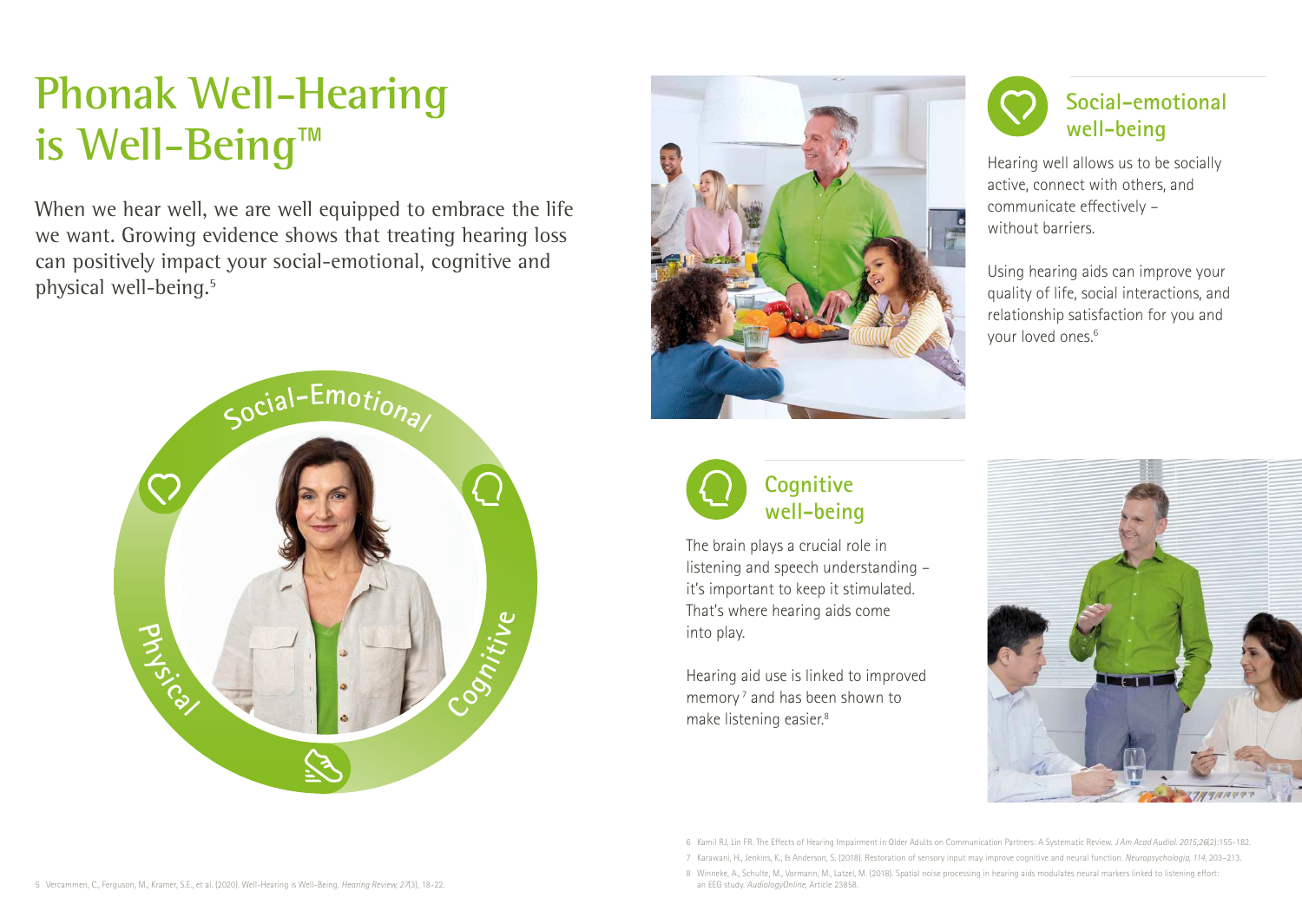## **Phonak Well-Hearing is Well-Being**™

When we hear well, we are well equipped to embrace the life we want. Growing evidence shows that treating hearing loss can positively impact your social-emotional, cognitive and physical well-being.<sup>5</sup>







The brain plays a crucial role in listening and speech understanding – it's important to keep it stimulated. That's where hearing aids come into play.

Hearing aid use is linked to improved memory<sup>7</sup> and has been shown to make listening easier.<sup>8</sup>



Hearing well allows us to be socially active, connect with others, and communicate effectively – without barriers.

Using hearing aids can improve your quality of life, social interactions, and relationship satisfaction for you and your loved ones.<sup>6</sup>



6 Kamil RJ, Lin FR. The Effects of Hearing Impairment in Older Adults on Communication Partners: A Systematic Review. *J Am Acad Audiol*. *2015;26*(2):155-182.

7 Karawani, H., Jenkins, K., & Anderson, S. (2018). Restoration of sensory input may improve cognitive and neural function. *Neuropsychologia, 114*, 203–213.

8 Winneke, A., Schulte, M., Vormann, M., Latzel, M. (2018). Spatial noise processing in hearing aids modulates neural markers linked to listening effort: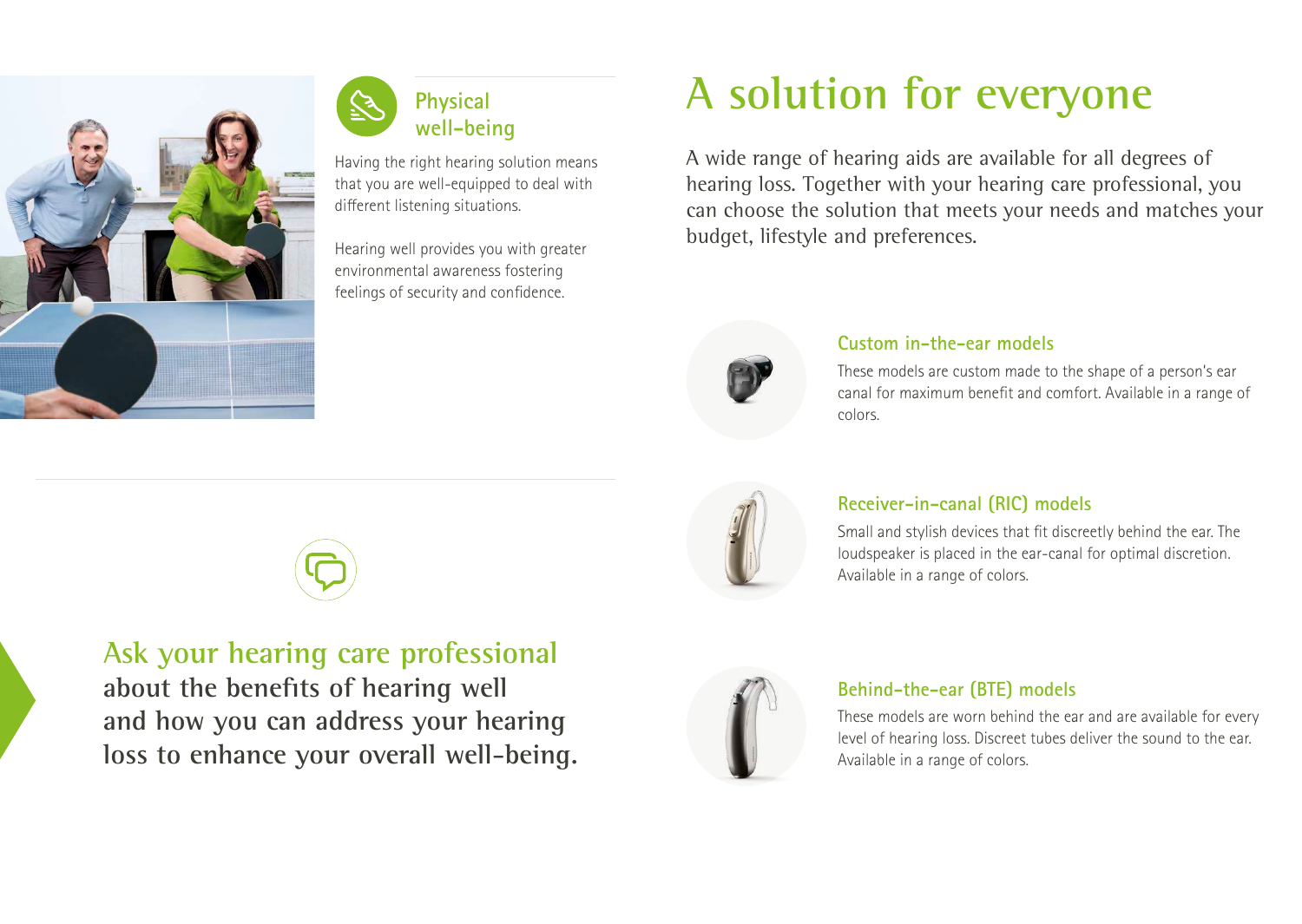



**Ask your hearing care professional** 

**and how you can address your hearing** 

**loss to enhance your overall well-being.** 

**about the benefits of hearing well** 

Having the right hearing solution means that you are well-equipped to deal with different listening situations.

Hearing well provides you with greater environmental awareness fostering feelings of security and confidence.

## **A solution for everyone**

A wide range of hearing aids are available for all degrees of hearing loss. Together with your hearing care professional, you can choose the solution that meets your needs and matches your budget, lifestyle and preferences.



#### **Custom in-the-ear models**

These models are custom made to the shape of a person's ear canal for maximum benefit and comfort. Available in a range of colors.



#### **Receiver-in-canal (RIC) models**

Small and stylish devices that fit discreetly behind the ear. The loudspeaker is placed in the ear-canal for optimal discretion. Available in a range of colors.



#### **Behind-the-ear (BTE) models**

These models are worn behind the ear and are available for every level of hearing loss. Discreet tubes deliver the sound to the ear. Available in a range of colors.